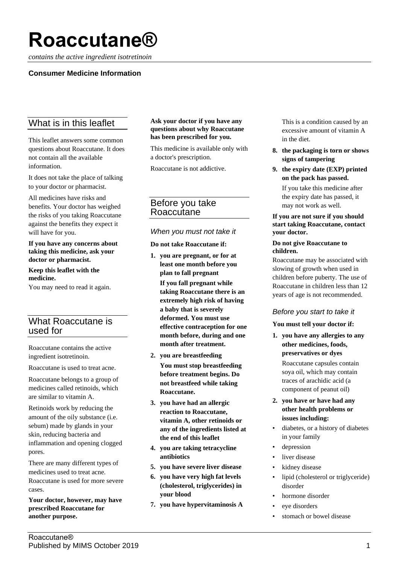# **Roaccutane®**

*contains the active ingredient isotretinoin*

# **Consumer Medicine Information**

# What is in this leaflet

This leaflet answers some common questions about Roaccutane. It does not contain all the available information.

It does not take the place of talking to your doctor or pharmacist.

All medicines have risks and benefits. Your doctor has weighed the risks of you taking Roaccutane against the benefits they expect it will have for you.

#### **If you have any concerns about taking this medicine, ask your doctor or pharmacist.**

**Keep this leaflet with the medicine.**

You may need to read it again.

# What Roaccutane is used for

Roaccutane contains the active ingredient isotretinoin.

Roaccutane is used to treat acne.

Roaccutane belongs to a group of medicines called retinoids, which are similar to vitamin A.

Retinoids work by reducing the amount of the oily substance (i.e. sebum) made by glands in your skin, reducing bacteria and inflammation and opening clogged pores.

There are many different types of medicines used to treat acne. Roaccutane is used for more severe cases.

**Your doctor, however, may have prescribed Roaccutane for another purpose.**

#### **Ask your doctor if you have any questions about why Roaccutane has been prescribed for you.**

This medicine is available only with a doctor's prescription.

Roaccutane is not addictive.

# Before you take Roaccutane

## *When you must not take it*

**Do not take Roaccutane if:**

- **1. you are pregnant, or for at least one month before you plan to fall pregnant If you fall pregnant while taking Roaccutane there is an extremely high risk of having a baby that is severely deformed. You must use effective contraception for one month before, during and one month after treatment.**
- **2. you are breastfeeding You must stop breastfeeding before treatment begins. Do not breastfeed while taking Roaccutane.**
- **3. you have had an allergic reaction to Roaccutane, vitamin A, other retinoids or any of the ingredients listed at the end of this leaflet**
- **4. you are taking tetracycline antibiotics**
- **5. you have severe liver disease**
- **6. you have very high fat levels (cholesterol, triglycerides) in your blood**
- **7. you have hypervitaminosis A**

This is a condition caused by an excessive amount of vitamin A in the diet.

- **8. the packaging is torn or shows signs of tampering**
- **9. the expiry date (EXP) printed on the pack has passed.** If you take this medicine after

the expiry date has passed, it may not work as well.

#### **If you are not sure if you should start taking Roaccutane, contact your doctor.**

#### **Do not give Roaccutane to children.**

Roaccutane may be associated with slowing of growth when used in children before puberty. The use of Roaccutane in children less than 12 years of age is not recommended.

# *Before you start to take it*

#### **You must tell your doctor if:**

**1. you have any allergies to any other medicines, foods, preservatives or dyes**

Roaccutane capsules contain soya oil, which may contain traces of arachidic acid (a component of peanut oil)

- **2. you have or have had any other health problems or issues including:**
- diabetes, or a history of diabetes in your family
- depression
- liver disease
- kidney disease
- lipid (cholesterol or triglyceride) disorder
- hormone disorder
- eve disorders
- stomach or bowel disease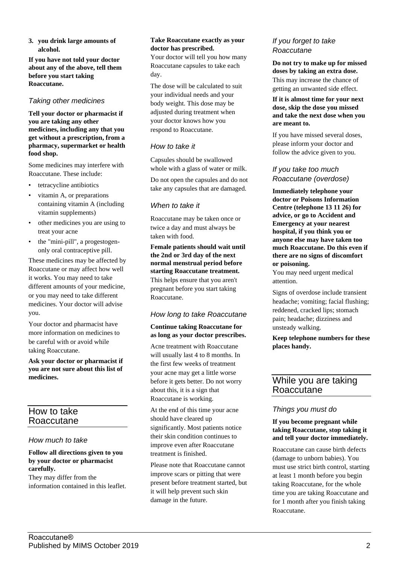**3. you drink large amounts of alcohol.**

**If you have not told your doctor about any of the above, tell them before you start taking Roaccutane.**

# *Taking other medicines*

**Tell your doctor or pharmacist if you are taking any other medicines, including any that you get without a prescription, from a pharmacy, supermarket or health food shop.**

Some medicines may interfere with Roaccutane. These include:

- tetracycline antibiotics
- vitamin A, or preparations containing vitamin A (including vitamin supplements)
- other medicines you are using to treat your acne
- the "mini-pill", a progestogenonly oral contraceptive pill.

These medicines may be affected by Roaccutane or may affect how well it works. You may need to take different amounts of your medicine, or you may need to take different medicines. Your doctor will advise you.

Your doctor and pharmacist have more information on medicines to be careful with or avoid while taking Roaccutane.

**Ask your doctor or pharmacist if you are not sure about this list of medicines.**

# How to take Roaccutane

# *How much to take*

#### **Follow all directions given to you by your doctor or pharmacist carefully.**

They may differ from the information contained in this leaflet.

#### **Take Roaccutane exactly as your doctor has prescribed.**

Your doctor will tell you how many Roaccutane capsules to take each day.

The dose will be calculated to suit your individual needs and your body weight. This dose may be adjusted during treatment when your doctor knows how you respond to Roaccutane.

# *How to take it*

Capsules should be swallowed whole with a glass of water or milk.

Do not open the capsules and do not take any capsules that are damaged.

# *When to take it*

Roaccutane may be taken once or twice a day and must always be taken with food.

## **Female patients should wait until the 2nd or 3rd day of the next normal menstrual period before starting Roaccutane treatment.**

This helps ensure that you aren't pregnant before you start taking Roaccutane.

# *How long to take Roaccutane*

#### **Continue taking Roaccutane for as long as your doctor prescribes.**

Acne treatment with Roaccutane will usually last 4 to 8 months. In the first few weeks of treatment your acne may get a little worse before it gets better. Do not worry about this, it is a sign that Roaccutane is working.

At the end of this time your acne should have cleared up significantly. Most patients notice their skin condition continues to improve even after Roaccutane treatment is finished.

Please note that Roaccutane cannot improve scars or pitting that were present before treatment started, but it will help prevent such skin damage in the future.

## *If you forget to take Roaccutane*

**Do not try to make up for missed doses by taking an extra dose.** This may increase the chance of getting an unwanted side effect.

#### **If it is almost time for your next dose, skip the dose you missed and take the next dose when you are meant to.**

If you have missed several doses, please inform your doctor and follow the advice given to you.

# *If you take too much Roaccutane (overdose)*

**Immediately telephone your doctor or Poisons Information Centre (telephone 13 11 26) for advice, or go to Accident and Emergency at your nearest hospital, if you think you or anyone else may have taken too much Roaccutane. Do this even if there are no signs of discomfort or poisoning.**

You may need urgent medical attention.

Signs of overdose include transient headache; vomiting; facial flushing; reddened, cracked lips; stomach pain; headache; dizziness and unsteady walking.

**Keep telephone numbers for these places handy.**

# While you are taking Roaccutane

# *Things you must do*

#### **If you become pregnant while taking Roaccutane, stop taking it and tell your doctor immediately.**

Roaccutane can cause birth defects (damage to unborn babies). You must use strict birth control, starting at least 1 month before you begin taking Roaccutane, for the whole time you are taking Roaccutane and for 1 month after you finish taking Roaccutane.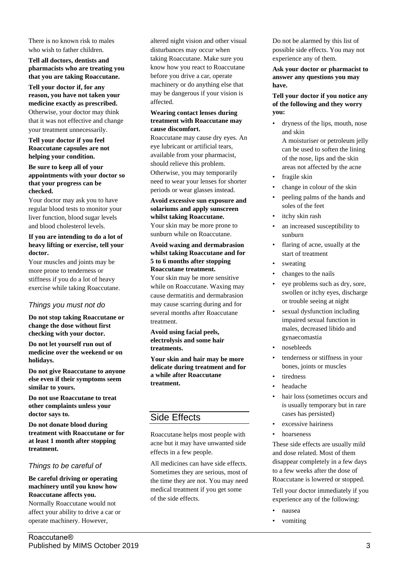There is no known risk to males who wish to father children.

**Tell all doctors, dentists and pharmacists who are treating you that you are taking Roaccutane.**

**Tell your doctor if, for any reason, you have not taken your medicine exactly as prescribed.** Otherwise, your doctor may think that it was not effective and change your treatment unnecessarily.

**Tell your doctor if you feel Roaccutane capsules are not helping your condition.**

#### **Be sure to keep all of your appointments with your doctor so that your progress can be checked.**

Your doctor may ask you to have regular blood tests to monitor your liver function, blood sugar levels and blood cholesterol levels.

#### **If you are intending to do a lot of heavy lifting or exercise, tell your doctor.**

Your muscles and joints may be more prone to tenderness or stiffness if you do a lot of heavy exercise while taking Roaccutane.

# *Things you must not do*

**Do not stop taking Roaccutane or change the dose without first checking with your doctor.**

**Do not let yourself run out of medicine over the weekend or on holidays.**

**Do not give Roaccutane to anyone else even if their symptoms seem similar to yours.**

**Do not use Roaccutane to treat other complaints unless your doctor says to.**

**Do not donate blood during treatment with Roaccutane or for at least 1 month after stopping treatment.**

# *Things to be careful of*

**Be careful driving or operating machinery until you know how Roaccutane affects you.** Normally Roaccutane would not affect your ability to drive a car or operate machinery. However,

altered night vision and other visual disturbances may occur when taking Roaccutane. Make sure you know how you react to Roaccutane before you drive a car, operate machinery or do anything else that may be dangerous if your vision is affected.

#### **Wearing contact lenses during treatment with Roaccutane may cause discomfort.**

Roaccutane may cause dry eyes. An eye lubricant or artificial tears, available from your pharmacist, should relieve this problem. Otherwise, you may temporarily need to wear your lenses for shorter periods or wear glasses instead.

## **Avoid excessive sun exposure and solariums and apply sunscreen whilst taking Roaccutane.**

Your skin may be more prone to sunburn while on Roaccutane.

#### **Avoid waxing and dermabrasion whilst taking Roaccutane and for 5 to 6 months after stopping Roaccutane treatment.**

Your skin may be more sensitive while on Roaccutane. Waxing may cause dermatitis and dermabrasion may cause scarring during and for several months after Roaccutane treatment.

**Avoid using facial peels, electrolysis and some hair treatments.**

**Your skin and hair may be more delicate during treatment and for a while after Roaccutane treatment.**

# Side Effects

Roaccutane helps most people with acne but it may have unwanted side effects in a few people.

All medicines can have side effects. Sometimes they are serious, most of the time they are not. You may need medical treatment if you get some of the side effects.

Do not be alarmed by this list of possible side effects. You may not experience any of them.

**Ask your doctor or pharmacist to answer any questions you may have.**

#### **Tell your doctor if you notice any of the following and they worry you:**

- dryness of the lips, mouth, nose and skin A moisturiser or petroleum jelly can be used to soften the lining of the nose, lips and the skin areas not affected by the acne
- fragile skin
- change in colour of the skin
- peeling palms of the hands and soles of the feet
- itchy skin rash
- an increased susceptibility to sunburn
- flaring of acne, usually at the start of treatment
- sweating
- changes to the nails
- eve problems such as dry, sore, swollen or itchy eyes, discharge or trouble seeing at night
- sexual dysfunction including impaired sexual function in males, decreased libido and gynaecomastia
- nosebleeds
- tenderness or stiffness in your bones, joints or muscles
- tiredness
- headache
- hair loss (sometimes occurs and is usually temporary but in rare cases has persisted)
- excessive hairiness
- hoarseness

These side effects are usually mild and dose related. Most of them disappear completely in a few days to a few weeks after the dose of Roaccutane is lowered or stopped.

Tell your doctor immediately if you experience any of the following:

- nausea
- vomiting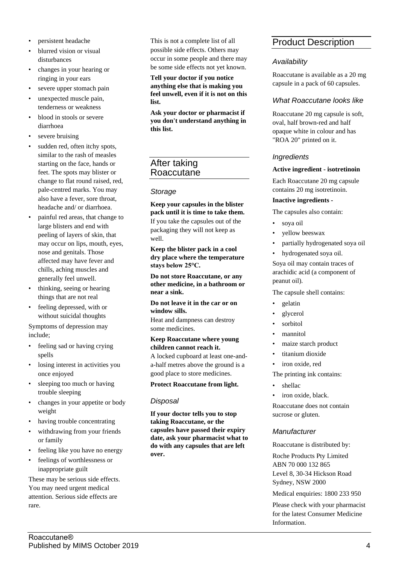- persistent headache
- blurred vision or visual disturbances
- changes in your hearing or ringing in your ears
- severe upper stomach pain
- unexpected muscle pain, tenderness or weakness
- blood in stools or severe diarrhoea
- severe bruising
- sudden red, often itchy spots, similar to the rash of measles starting on the face, hands or feet. The spots may blister or change to flat round raised, red, pale-centred marks. You may also have a fever, sore throat, headache and/ or diarrhoea.
- painful red areas, that change to large blisters and end with peeling of layers of skin, that may occur on lips, mouth, eyes, nose and genitals. Those affected may have fever and chills, aching muscles and generally feel unwell.
- thinking, seeing or hearing things that are not real
- feeling depressed, with or without suicidal thoughts

Symptoms of depression may include;

- feeling sad or having crying spells
- losing interest in activities you once enjoyed
- sleeping too much or having trouble sleeping
- changes in your appetite or body weight
- having trouble concentrating
- withdrawing from your friends or family
- feeling like you have no energy
- feelings of worthlessness or inappropriate guilt

These may be serious side effects. You may need urgent medical attention. Serious side effects are rare.

This is not a complete list of all possible side effects. Others may occur in some people and there may be some side effects not yet known.

#### **Tell your doctor if you notice anything else that is making you feel unwell, even if it is not on this list.**

**Ask your doctor or pharmacist if you don't understand anything in this list.**

# After taking Roaccutane

# *Storage*

**Keep your capsules in the blister pack until it is time to take them.** If you take the capsules out of the packaging they will not keep as well.

**Keep the blister pack in a cool dry place where the temperature stays below 25°C.**

**Do not store Roaccutane, or any other medicine, in a bathroom or near a sink.**

**Do not leave it in the car or on window sills.**

Heat and dampness can destroy some medicines.

## **Keep Roaccutane where young children cannot reach it.**

A locked cupboard at least one-anda-half metres above the ground is a good place to store medicines.

#### **Protect Roaccutane from light.**

# *Disposal*

**If your doctor tells you to stop taking Roaccutane, or the capsules have passed their expiry date, ask your pharmacist what to do with any capsules that are left over.**

# Product Description

# *Availability*

Roaccutane is available as a 20 mg capsule in a pack of 60 capsules.

# *What Roaccutane looks like*

Roaccutane 20 mg capsule is soft, oval, half brown-red and half opaque white in colour and has "ROA 20" printed on it.

# *Ingredients*

## **Active ingredient - isotretinoin**

Each Roaccutane 20 mg capsule contains 20 mg isotretinoin.

## **Inactive ingredients -**

The capsules also contain:

- soya oil
- yellow beeswax
- partially hydrogenated soya oil
- hydrogenated soya oil.

Soya oil may contain traces of arachidic acid (a component of peanut oil).

The capsule shell contains:

- gelatin
- glycerol
- sorbitol
- mannitol
- maize starch product
- titanium dioxide
- iron oxide, red

#### The printing ink contains:

- shellac
- iron oxide, black.

Roaccutane does not contain sucrose or gluten.

# *Manufacturer*

Roaccutane is distributed by:

Roche Products Pty Limited ABN 70 000 132 865 Level 8, 30-34 Hickson Road Sydney, NSW 2000

Medical enquiries: 1800 233 950

Please check with your pharmacist for the latest Consumer Medicine Information.